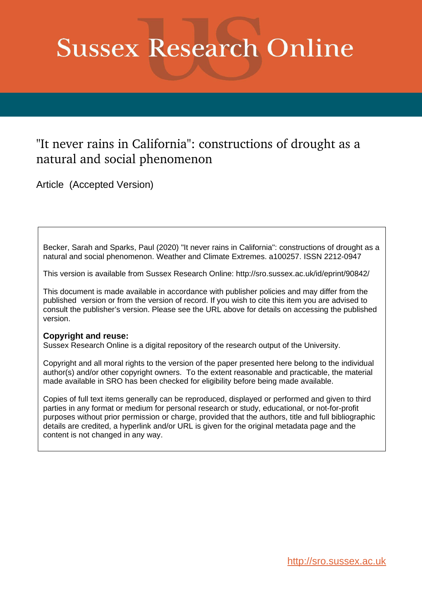# **Sussex Research Online**

# "It never rains in California": constructions of drought as a natural and social phenomenon

Article (Accepted Version)

Becker, Sarah and Sparks, Paul (2020) "It never rains in California": constructions of drought as a natural and social phenomenon. Weather and Climate Extremes. a100257. ISSN 2212-0947

This version is available from Sussex Research Online: http://sro.sussex.ac.uk/id/eprint/90842/

This document is made available in accordance with publisher policies and may differ from the published version or from the version of record. If you wish to cite this item you are advised to consult the publisher's version. Please see the URL above for details on accessing the published version.

# **Copyright and reuse:**

Sussex Research Online is a digital repository of the research output of the University.

Copyright and all moral rights to the version of the paper presented here belong to the individual author(s) and/or other copyright owners. To the extent reasonable and practicable, the material made available in SRO has been checked for eligibility before being made available.

Copies of full text items generally can be reproduced, displayed or performed and given to third parties in any format or medium for personal research or study, educational, or not-for-profit purposes without prior permission or charge, provided that the authors, title and full bibliographic details are credited, a hyperlink and/or URL is given for the original metadata page and the content is not changed in any way.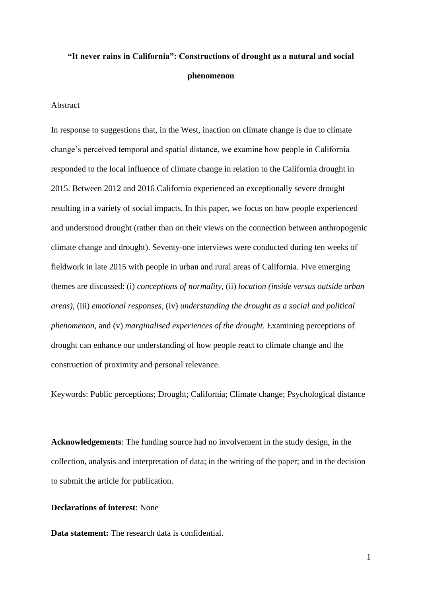# **"It never rains in California": Constructions of drought as a natural and social phenomenon**

#### Abstract

In response to suggestions that, in the West, inaction on climate change is due to climate change's perceived temporal and spatial distance, we examine how people in California responded to the local influence of climate change in relation to the California drought in 2015. Between 2012 and 2016 California experienced an exceptionally severe drought resulting in a variety of social impacts. In this paper, we focus on how people experienced and understood drought (rather than on their views on the connection between anthropogenic climate change and drought). Seventy-one interviews were conducted during ten weeks of fieldwork in late 2015 with people in urban and rural areas of California. Five emerging themes are discussed: (i) *conceptions of normality*, (ii) *location (inside versus outside urban areas)*, (iii) *emotional responses*, (iv) *understanding the drought as a social and political phenomenon*, and (v) *marginalised experiences of the drought*. Examining perceptions of drought can enhance our understanding of how people react to climate change and the construction of proximity and personal relevance.

Keywords: Public perceptions; Drought; California; Climate change; Psychological distance

**Acknowledgements**: The funding source had no involvement in the study design, in the collection, analysis and interpretation of data; in the writing of the paper; and in the decision to submit the article for publication.

# **Declarations of interest**: None

**Data statement:** The research data is confidential.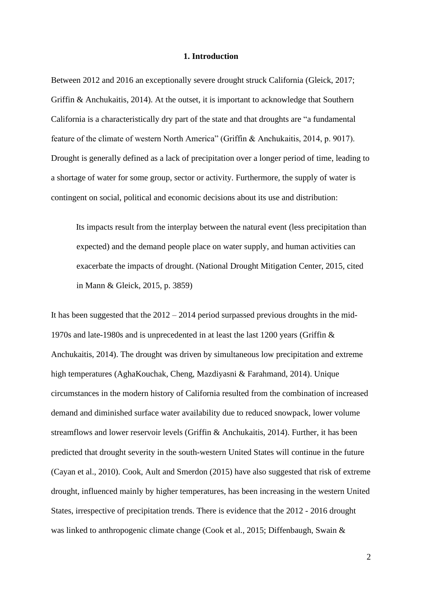#### **1. Introduction**

Between 2012 and 2016 an exceptionally severe drought struck California (Gleick, 2017; Griffin & Anchukaitis, 2014). At the outset, it is important to acknowledge that Southern California is a characteristically dry part of the state and that droughts are "a fundamental feature of the climate of western North America" (Griffin & Anchukaitis, 2014, p. 9017). Drought is generally defined as a lack of precipitation over a longer period of time, leading to a shortage of water for some group, sector or activity. Furthermore, the supply of water is contingent on social, political and economic decisions about its use and distribution:

Its impacts result from the interplay between the natural event (less precipitation than expected) and the demand people place on water supply, and human activities can exacerbate the impacts of drought. (National Drought Mitigation Center, 2015, cited in Mann & Gleick, 2015, p. 3859)

It has been suggested that the 2012 – 2014 period surpassed previous droughts in the mid-1970s and late-1980s and is unprecedented in at least the last 1200 years (Griffin & Anchukaitis, 2014). The drought was driven by simultaneous low precipitation and extreme high temperatures (AghaKouchak, Cheng, Mazdiyasni & Farahmand, 2014). Unique circumstances in the modern history of California resulted from the combination of increased demand and diminished surface water availability due to reduced snowpack, lower volume streamflows and lower reservoir levels (Griffin & Anchukaitis, 2014). Further, it has been predicted that drought severity in the south-western United States will continue in the future (Cayan et al., 2010). Cook, Ault and Smerdon (2015) have also suggested that risk of extreme drought, influenced mainly by higher temperatures, has been increasing in the western United States, irrespective of precipitation trends. There is evidence that the 2012 - 2016 drought was linked to anthropogenic climate change (Cook et al., 2015; Diffenbaugh, Swain &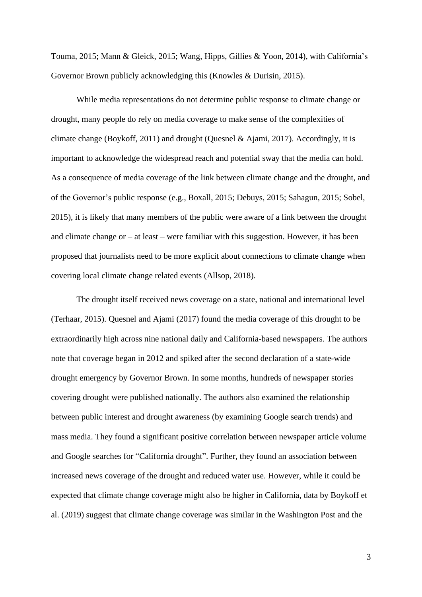Touma, 2015; Mann & Gleick, 2015; Wang, Hipps, Gillies & Yoon, 2014), with California's Governor Brown publicly acknowledging this (Knowles & Durisin, 2015).

While media representations do not determine public response to climate change or drought, many people do rely on media coverage to make sense of the complexities of climate change (Boykoff, 2011) and drought (Quesnel & Ajami, 2017). Accordingly, it is important to acknowledge the widespread reach and potential sway that the media can hold. As a consequence of media coverage of the link between climate change and the drought, and of the Governor's public response (e.g., Boxall, 2015; Debuys, 2015; Sahagun, 2015; Sobel, 2015), it is likely that many members of the public were aware of a link between the drought and climate change or – at least – were familiar with this suggestion. However, it has been proposed that journalists need to be more explicit about connections to climate change when covering local climate change related events (Allsop, 2018).

The drought itself received news coverage on a state, national and international level (Terhaar, 2015). Quesnel and Ajami (2017) found the media coverage of this drought to be extraordinarily high across nine national daily and California-based newspapers. The authors note that coverage began in 2012 and spiked after the second declaration of a state-wide drought emergency by Governor Brown. In some months, hundreds of newspaper stories covering drought were published nationally. The authors also examined the relationship between public interest and drought awareness (by examining Google search trends) and mass media. They found a significant positive correlation between newspaper article volume and Google searches for "California drought". Further, they found an association between increased news coverage of the drought and reduced water use. However, while it could be expected that climate change coverage might also be higher in California, data by Boykoff et al. (2019) suggest that climate change coverage was similar in the Washington Post and the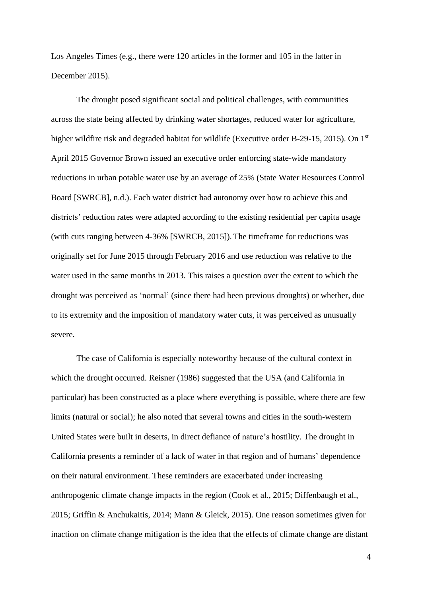Los Angeles Times (e.g., there were 120 articles in the former and 105 in the latter in December 2015).

The drought posed significant social and political challenges, with communities across the state being affected by drinking water shortages, reduced water for agriculture, higher wildfire risk and degraded habitat for wildlife (Executive order B-29-15, 2015). On 1<sup>st</sup> April 2015 Governor Brown issued an executive order enforcing state-wide mandatory reductions in urban potable water use by an average of 25% (State Water Resources Control Board [SWRCB], n.d.). Each water district had autonomy over how to achieve this and districts' reduction rates were adapted according to the existing residential per capita usage (with cuts ranging between 4-36% [SWRCB, 2015]). The timeframe for reductions was originally set for June 2015 through February 2016 and use reduction was relative to the water used in the same months in 2013. This raises a question over the extent to which the drought was perceived as 'normal' (since there had been previous droughts) or whether, due to its extremity and the imposition of mandatory water cuts, it was perceived as unusually severe.

The case of California is especially noteworthy because of the cultural context in which the drought occurred. Reisner (1986) suggested that the USA (and California in particular) has been constructed as a place where everything is possible, where there are few limits (natural or social); he also noted that several towns and cities in the south-western United States were built in deserts, in direct defiance of nature's hostility. The drought in California presents a reminder of a lack of water in that region and of humans' dependence on their natural environment. These reminders are exacerbated under increasing anthropogenic climate change impacts in the region (Cook et al., 2015; Diffenbaugh et al., 2015; Griffin & Anchukaitis, 2014; Mann & Gleick, 2015). One reason sometimes given for inaction on climate change mitigation is the idea that the effects of climate change are distant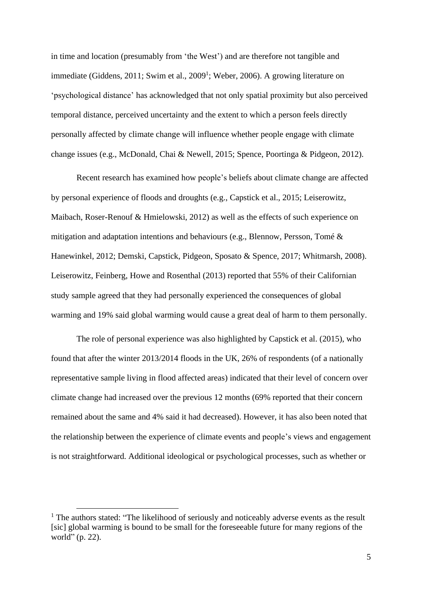in time and location (presumably from 'the West') and are therefore not tangible and immediate (Giddens, 2011; Swim et al., 2009<sup>1</sup>; Weber, 2006). A growing literature on 'psychological distance' has acknowledged that not only spatial proximity but also perceived temporal distance, perceived uncertainty and the extent to which a person feels directly personally affected by climate change will influence whether people engage with climate change issues (e.g., McDonald, Chai & Newell, 2015; Spence, Poortinga & Pidgeon, 2012).

Recent research has examined how people's beliefs about climate change are affected by personal experience of floods and droughts (e.g., Capstick et al., 2015; Leiserowitz, Maibach, Roser-Renouf & Hmielowski, 2012) as well as the effects of such experience on mitigation and adaptation intentions and behaviours (e.g., Blennow, Persson, Tomé & Hanewinkel, 2012; Demski, Capstick, Pidgeon, Sposato & Spence, 2017; Whitmarsh, 2008). Leiserowitz, Feinberg, Howe and Rosenthal (2013) reported that 55% of their Californian study sample agreed that they had personally experienced the consequences of global warming and 19% said global warming would cause a great deal of harm to them personally.

The role of personal experience was also highlighted by Capstick et al. (2015), who found that after the winter 2013/2014 floods in the UK, 26% of respondents (of a nationally representative sample living in flood affected areas) indicated that their level of concern over climate change had increased over the previous 12 months (69% reported that their concern remained about the same and 4% said it had decreased). However, it has also been noted that the relationship between the experience of climate events and people's views and engagement is not straightforward. Additional ideological or psychological processes, such as whether or

 $<sup>1</sup>$  The authors stated: "The likelihood of seriously and noticeably adverse events as the result</sup> [sic] global warming is bound to be small for the foreseeable future for many regions of the world" (p. 22).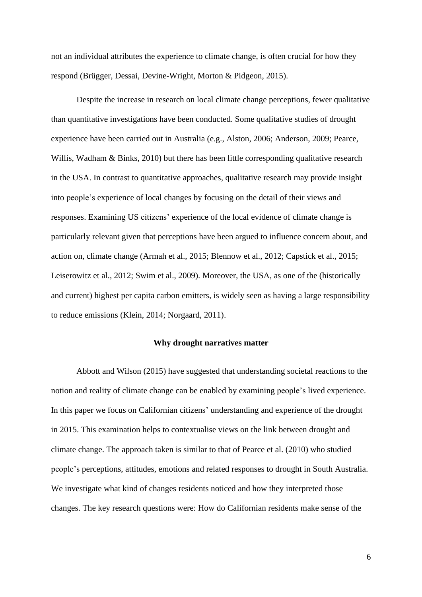not an individual attributes the experience to climate change, is often crucial for how they respond (Brügger, Dessai, Devine-Wright, Morton & Pidgeon, 2015).

Despite the increase in research on local climate change perceptions, fewer qualitative than quantitative investigations have been conducted. Some qualitative studies of drought experience have been carried out in Australia (e.g., Alston, 2006; Anderson, 2009; Pearce, Willis, Wadham & Binks, 2010) but there has been little corresponding qualitative research in the USA. In contrast to quantitative approaches, qualitative research may provide insight into people's experience of local changes by focusing on the detail of their views and responses. Examining US citizens' experience of the local evidence of climate change is particularly relevant given that perceptions have been argued to influence concern about, and action on, climate change (Armah et al., 2015; Blennow et al., 2012; Capstick et al., 2015; Leiserowitz et al., 2012; Swim et al., 2009). Moreover, the USA, as one of the (historically and current) highest per capita carbon emitters, is widely seen as having a large responsibility to reduce emissions (Klein, 2014; Norgaard, 2011).

#### **Why drought narratives matter**

Abbott and Wilson (2015) have suggested that understanding societal reactions to the notion and reality of climate change can be enabled by examining people's lived experience. In this paper we focus on Californian citizens' understanding and experience of the drought in 2015. This examination helps to contextualise views on the link between drought and climate change. The approach taken is similar to that of Pearce et al. (2010) who studied people's perceptions, attitudes, emotions and related responses to drought in South Australia. We investigate what kind of changes residents noticed and how they interpreted those changes. The key research questions were: How do Californian residents make sense of the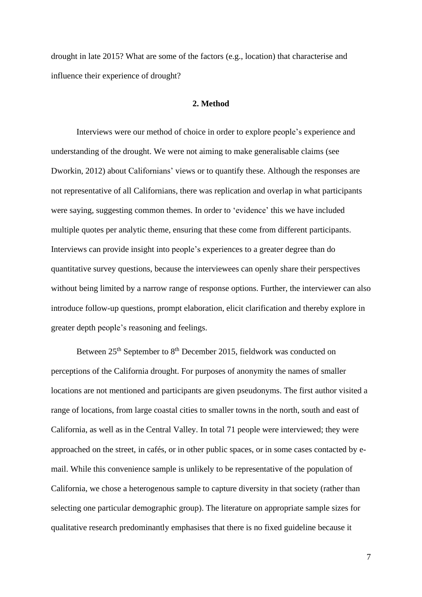drought in late 2015? What are some of the factors (e.g., location) that characterise and influence their experience of drought?

#### **2. Method**

Interviews were our method of choice in order to explore people's experience and understanding of the drought. We were not aiming to make generalisable claims (see Dworkin, 2012) about Californians' views or to quantify these. Although the responses are not representative of all Californians, there was replication and overlap in what participants were saying, suggesting common themes. In order to 'evidence' this we have included multiple quotes per analytic theme, ensuring that these come from different participants. Interviews can provide insight into people's experiences to a greater degree than do quantitative survey questions, because the interviewees can openly share their perspectives without being limited by a narrow range of response options. Further, the interviewer can also introduce follow-up questions, prompt elaboration, elicit clarification and thereby explore in greater depth people's reasoning and feelings.

Between 25<sup>th</sup> September to 8<sup>th</sup> December 2015, fieldwork was conducted on perceptions of the California drought. For purposes of anonymity the names of smaller locations are not mentioned and participants are given pseudonyms. The first author visited a range of locations, from large coastal cities to smaller towns in the north, south and east of California, as well as in the Central Valley. In total 71 people were interviewed; they were approached on the street, in cafés, or in other public spaces, or in some cases contacted by email. While this convenience sample is unlikely to be representative of the population of California, we chose a heterogenous sample to capture diversity in that society (rather than selecting one particular demographic group). The literature on appropriate sample sizes for qualitative research predominantly emphasises that there is no fixed guideline because it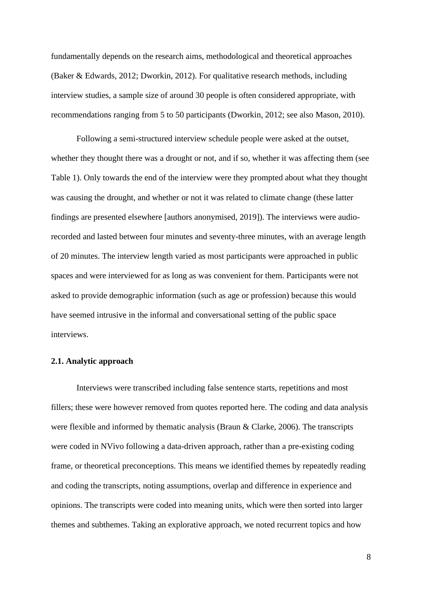fundamentally depends on the research aims, methodological and theoretical approaches (Baker & Edwards, 2012; Dworkin, 2012). For qualitative research methods, including interview studies, a sample size of around 30 people is often considered appropriate, with recommendations ranging from 5 to 50 participants (Dworkin, 2012; see also Mason, 2010).

Following a semi-structured interview schedule people were asked at the outset, whether they thought there was a drought or not, and if so, whether it was affecting them (see Table 1). Only towards the end of the interview were they prompted about what they thought was causing the drought, and whether or not it was related to climate change (these latter findings are presented elsewhere [authors anonymised, 2019]). The interviews were audiorecorded and lasted between four minutes and seventy-three minutes, with an average length of 20 minutes. The interview length varied as most participants were approached in public spaces and were interviewed for as long as was convenient for them. Participants were not asked to provide demographic information (such as age or profession) because this would have seemed intrusive in the informal and conversational setting of the public space interviews.

#### **2.1. Analytic approach**

Interviews were transcribed including false sentence starts, repetitions and most fillers; these were however removed from quotes reported here. The coding and data analysis were flexible and informed by thematic analysis (Braun & Clarke, 2006). The transcripts were coded in NVivo following a data-driven approach, rather than a pre-existing coding frame, or theoretical preconceptions. This means we identified themes by repeatedly reading and coding the transcripts, noting assumptions, overlap and difference in experience and opinions. The transcripts were coded into meaning units, which were then sorted into larger themes and subthemes. Taking an explorative approach, we noted recurrent topics and how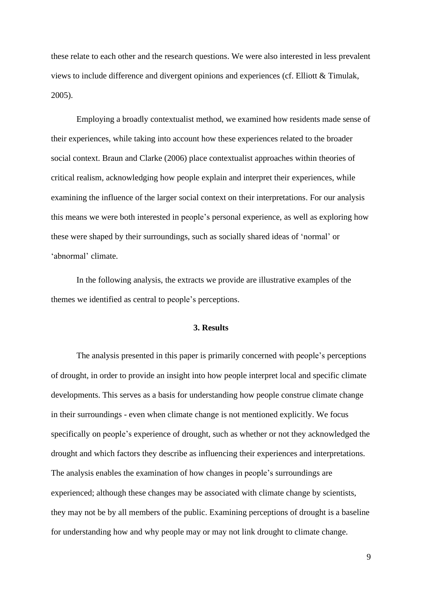these relate to each other and the research questions. We were also interested in less prevalent views to include difference and divergent opinions and experiences (cf. Elliott & Timulak, 2005).

Employing a broadly contextualist method, we examined how residents made sense of their experiences, while taking into account how these experiences related to the broader social context. Braun and Clarke (2006) place contextualist approaches within theories of critical realism, acknowledging how people explain and interpret their experiences, while examining the influence of the larger social context on their interpretations. For our analysis this means we were both interested in people's personal experience, as well as exploring how these were shaped by their surroundings, such as socially shared ideas of 'normal' or 'abnormal' climate.

In the following analysis, the extracts we provide are illustrative examples of the themes we identified as central to people's perceptions.

#### **3. Results**

The analysis presented in this paper is primarily concerned with people's perceptions of drought, in order to provide an insight into how people interpret local and specific climate developments. This serves as a basis for understanding how people construe climate change in their surroundings - even when climate change is not mentioned explicitly. We focus specifically on people's experience of drought, such as whether or not they acknowledged the drought and which factors they describe as influencing their experiences and interpretations. The analysis enables the examination of how changes in people's surroundings are experienced; although these changes may be associated with climate change by scientists, they may not be by all members of the public. Examining perceptions of drought is a baseline for understanding how and why people may or may not link drought to climate change.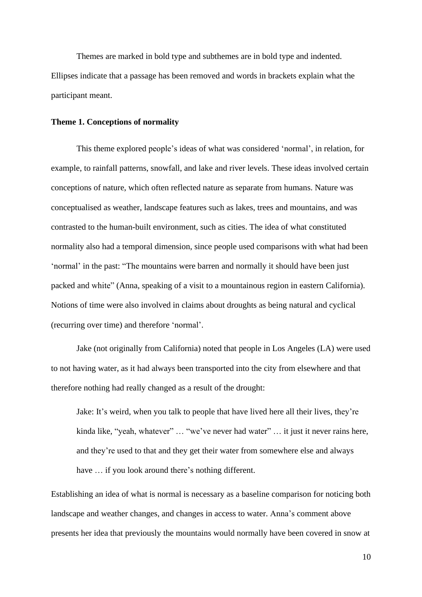Themes are marked in bold type and subthemes are in bold type and indented. Ellipses indicate that a passage has been removed and words in brackets explain what the participant meant.

#### **Theme 1. Conceptions of normality**

This theme explored people's ideas of what was considered 'normal', in relation, for example, to rainfall patterns, snowfall, and lake and river levels. These ideas involved certain conceptions of nature, which often reflected nature as separate from humans. Nature was conceptualised as weather, landscape features such as lakes, trees and mountains, and was contrasted to the human-built environment, such as cities. The idea of what constituted normality also had a temporal dimension, since people used comparisons with what had been 'normal' in the past: "The mountains were barren and normally it should have been just packed and white" (Anna, speaking of a visit to a mountainous region in eastern California). Notions of time were also involved in claims about droughts as being natural and cyclical (recurring over time) and therefore 'normal'.

Jake (not originally from California) noted that people in Los Angeles (LA) were used to not having water, as it had always been transported into the city from elsewhere and that therefore nothing had really changed as a result of the drought:

Jake: It's weird, when you talk to people that have lived here all their lives, they're kinda like, "yeah, whatever" ... "we've never had water" ... it just it never rains here, and they're used to that and they get their water from somewhere else and always have  $\ldots$  if you look around there's nothing different.

Establishing an idea of what is normal is necessary as a baseline comparison for noticing both landscape and weather changes, and changes in access to water. Anna's comment above presents her idea that previously the mountains would normally have been covered in snow at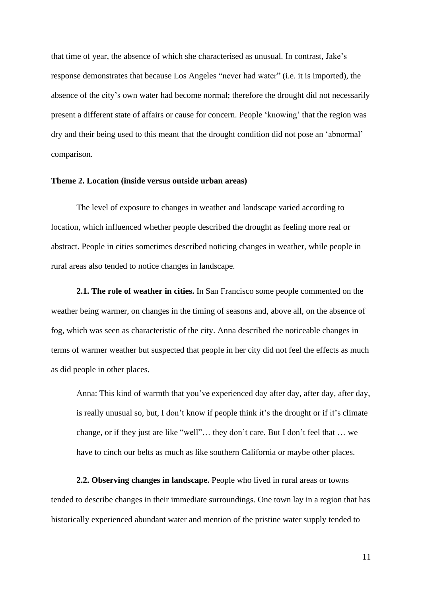that time of year, the absence of which she characterised as unusual. In contrast, Jake's response demonstrates that because Los Angeles "never had water" (i.e. it is imported), the absence of the city's own water had become normal; therefore the drought did not necessarily present a different state of affairs or cause for concern. People 'knowing' that the region was dry and their being used to this meant that the drought condition did not pose an 'abnormal' comparison.

#### **Theme 2. Location (inside versus outside urban areas)**

The level of exposure to changes in weather and landscape varied according to location, which influenced whether people described the drought as feeling more real or abstract. People in cities sometimes described noticing changes in weather, while people in rural areas also tended to notice changes in landscape.

**2.1. The role of weather in cities.** In San Francisco some people commented on the weather being warmer, on changes in the timing of seasons and, above all, on the absence of fog, which was seen as characteristic of the city. Anna described the noticeable changes in terms of warmer weather but suspected that people in her city did not feel the effects as much as did people in other places.

Anna: This kind of warmth that you've experienced day after day, after day, after day, is really unusual so, but, I don't know if people think it's the drought or if it's climate change, or if they just are like "well"… they don't care. But I don't feel that … we have to cinch our belts as much as like southern California or maybe other places.

**2.2. Observing changes in landscape.** People who lived in rural areas or towns tended to describe changes in their immediate surroundings. One town lay in a region that has historically experienced abundant water and mention of the pristine water supply tended to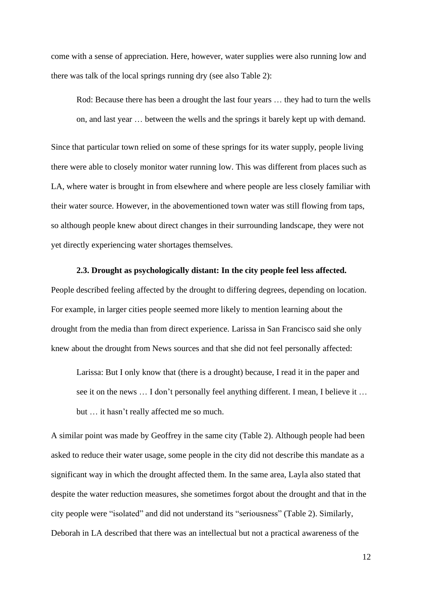come with a sense of appreciation. Here, however, water supplies were also running low and there was talk of the local springs running dry (see also Table 2):

Rod: Because there has been a drought the last four years … they had to turn the wells on, and last year … between the wells and the springs it barely kept up with demand.

Since that particular town relied on some of these springs for its water supply, people living there were able to closely monitor water running low. This was different from places such as LA, where water is brought in from elsewhere and where people are less closely familiar with their water source. However, in the abovementioned town water was still flowing from taps, so although people knew about direct changes in their surrounding landscape, they were not yet directly experiencing water shortages themselves.

#### **2.3. Drought as psychologically distant: In the city people feel less affected.**

People described feeling affected by the drought to differing degrees, depending on location. For example, in larger cities people seemed more likely to mention learning about the drought from the media than from direct experience. Larissa in San Francisco said she only knew about the drought from News sources and that she did not feel personally affected:

Larissa: But I only know that (there is a drought) because, I read it in the paper and see it on the news … I don't personally feel anything different. I mean, I believe it … but … it hasn't really affected me so much.

A similar point was made by Geoffrey in the same city (Table 2). Although people had been asked to reduce their water usage, some people in the city did not describe this mandate as a significant way in which the drought affected them. In the same area, Layla also stated that despite the water reduction measures, she sometimes forgot about the drought and that in the city people were "isolated" and did not understand its "seriousness" (Table 2). Similarly, Deborah in LA described that there was an intellectual but not a practical awareness of the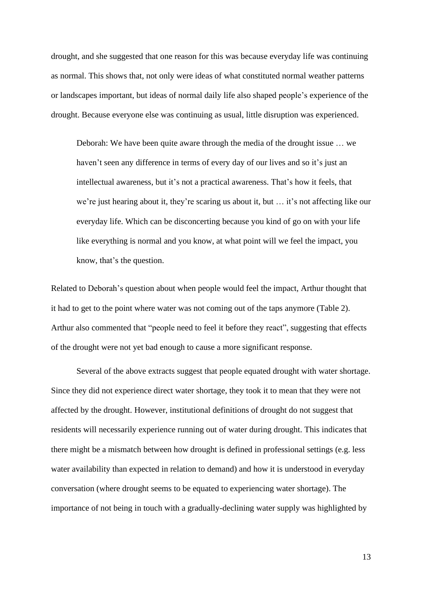drought, and she suggested that one reason for this was because everyday life was continuing as normal. This shows that, not only were ideas of what constituted normal weather patterns or landscapes important, but ideas of normal daily life also shaped people's experience of the drought. Because everyone else was continuing as usual, little disruption was experienced.

Deborah: We have been quite aware through the media of the drought issue … we haven't seen any difference in terms of every day of our lives and so it's just an intellectual awareness, but it's not a practical awareness. That's how it feels, that we're just hearing about it, they're scaring us about it, but … it's not affecting like our everyday life. Which can be disconcerting because you kind of go on with your life like everything is normal and you know, at what point will we feel the impact, you know, that's the question.

Related to Deborah's question about when people would feel the impact, Arthur thought that it had to get to the point where water was not coming out of the taps anymore (Table 2). Arthur also commented that "people need to feel it before they react", suggesting that effects of the drought were not yet bad enough to cause a more significant response.

Several of the above extracts suggest that people equated drought with water shortage. Since they did not experience direct water shortage, they took it to mean that they were not affected by the drought. However, institutional definitions of drought do not suggest that residents will necessarily experience running out of water during drought. This indicates that there might be a mismatch between how drought is defined in professional settings (e.g. less water availability than expected in relation to demand) and how it is understood in everyday conversation (where drought seems to be equated to experiencing water shortage). The importance of not being in touch with a gradually-declining water supply was highlighted by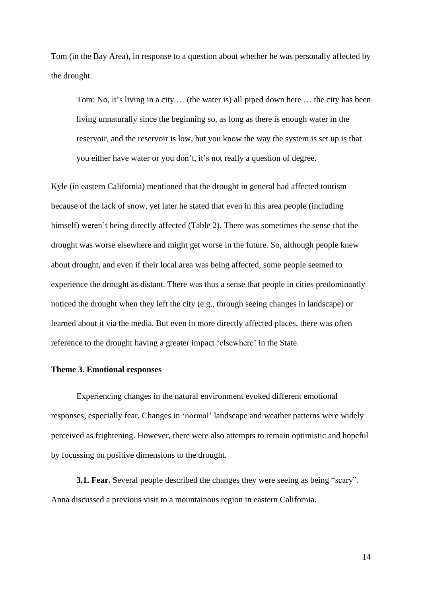Tom (in the Bay Area), in response to a question about whether he was personally affected by the drought.

Tom: No, it's living in a city … (the water is) all piped down here … the city has been living unnaturally since the beginning so, as long as there is enough water in the reservoir, and the reservoir is low, but you know the way the system is set up is that you either have water or you don't, it's not really a question of degree.

Kyle (in eastern California) mentioned that the drought in general had affected tourism because of the lack of snow, yet later he stated that even in this area people (including himself) weren't being directly affected (Table 2). There was sometimes the sense that the drought was worse elsewhere and might get worse in the future. So, although people knew about drought, and even if their local area was being affected, some people seemed to experience the drought as distant. There was thus a sense that people in cities predominantly noticed the drought when they left the city (e.g., through seeing changes in landscape) or learned about it via the media. But even in more directly affected places, there was often reference to the drought having a greater impact 'elsewhere' in the State.

### **Theme 3. Emotional responses**

Experiencing changes in the natural environment evoked different emotional responses, especially fear. Changes in 'normal' landscape and weather patterns were widely perceived as frightening. However, there were also attempts to remain optimistic and hopeful by focussing on positive dimensions to the drought.

**3.1. Fear.** Several people described the changes they were seeing as being "scary". Anna discussed a previous visit to a mountainous region in eastern California.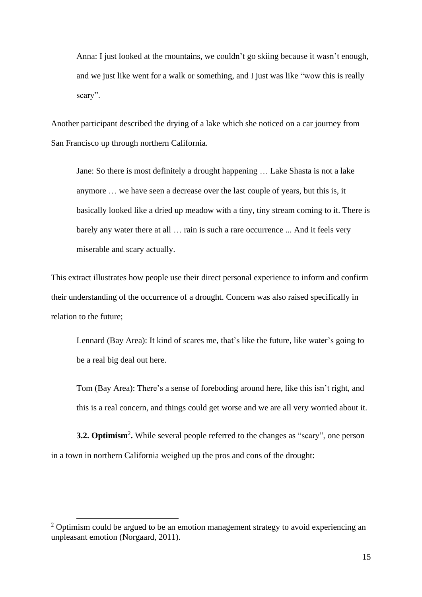Anna: I just looked at the mountains, we couldn't go skiing because it wasn't enough, and we just like went for a walk or something, and I just was like "wow this is really scary".

Another participant described the drying of a lake which she noticed on a car journey from San Francisco up through northern California.

Jane: So there is most definitely a drought happening … Lake Shasta is not a lake anymore … we have seen a decrease over the last couple of years, but this is, it basically looked like a dried up meadow with a tiny, tiny stream coming to it. There is barely any water there at all … rain is such a rare occurrence ... And it feels very miserable and scary actually.

This extract illustrates how people use their direct personal experience to inform and confirm their understanding of the occurrence of a drought. Concern was also raised specifically in relation to the future;

Lennard (Bay Area): It kind of scares me, that's like the future, like water's going to be a real big deal out here.

Tom (Bay Area): There's a sense of foreboding around here, like this isn't right, and this is a real concern, and things could get worse and we are all very worried about it.

**3.2. Optimism**<sup>2</sup> **.** While several people referred to the changes as "scary", one person in a town in northern California weighed up the pros and cons of the drought:

 $2$  Optimism could be argued to be an emotion management strategy to avoid experiencing an unpleasant emotion (Norgaard, 2011).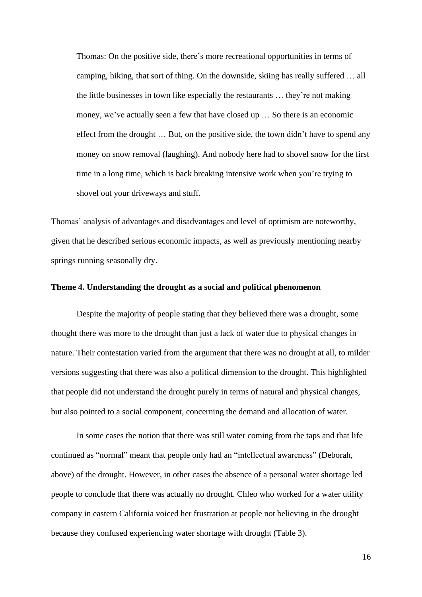Thomas: On the positive side, there's more recreational opportunities in terms of camping, hiking, that sort of thing. On the downside, skiing has really suffered … all the little businesses in town like especially the restaurants … they're not making money, we've actually seen a few that have closed up … So there is an economic effect from the drought … But, on the positive side, the town didn't have to spend any money on snow removal (laughing). And nobody here had to shovel snow for the first time in a long time, which is back breaking intensive work when you're trying to shovel out your driveways and stuff.

Thomas' analysis of advantages and disadvantages and level of optimism are noteworthy, given that he described serious economic impacts, as well as previously mentioning nearby springs running seasonally dry.

#### **Theme 4. Understanding the drought as a social and political phenomenon**

Despite the majority of people stating that they believed there was a drought, some thought there was more to the drought than just a lack of water due to physical changes in nature. Their contestation varied from the argument that there was no drought at all, to milder versions suggesting that there was also a political dimension to the drought. This highlighted that people did not understand the drought purely in terms of natural and physical changes, but also pointed to a social component, concerning the demand and allocation of water.

In some cases the notion that there was still water coming from the taps and that life continued as "normal" meant that people only had an "intellectual awareness" (Deborah, above) of the drought. However, in other cases the absence of a personal water shortage led people to conclude that there was actually no drought. Chleo who worked for a water utility company in eastern California voiced her frustration at people not believing in the drought because they confused experiencing water shortage with drought (Table 3).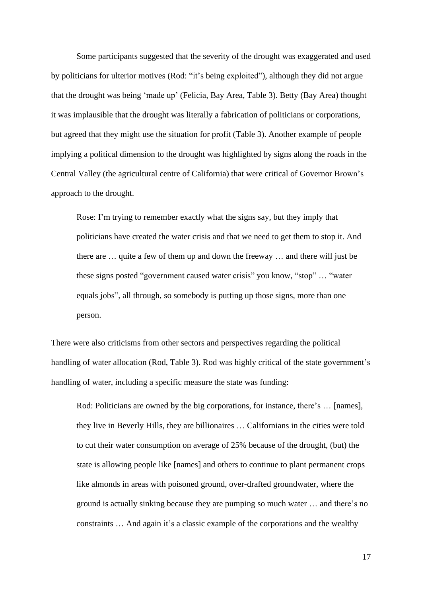Some participants suggested that the severity of the drought was exaggerated and used by politicians for ulterior motives (Rod: "it's being exploited"), although they did not argue that the drought was being 'made up' (Felicia, Bay Area, Table 3). Betty (Bay Area) thought it was implausible that the drought was literally a fabrication of politicians or corporations, but agreed that they might use the situation for profit (Table 3). Another example of people implying a political dimension to the drought was highlighted by signs along the roads in the Central Valley (the agricultural centre of California) that were critical of Governor Brown's approach to the drought.

Rose: I'm trying to remember exactly what the signs say, but they imply that politicians have created the water crisis and that we need to get them to stop it. And there are … quite a few of them up and down the freeway … and there will just be these signs posted "government caused water crisis" you know, "stop" … "water equals jobs", all through, so somebody is putting up those signs, more than one person.

There were also criticisms from other sectors and perspectives regarding the political handling of water allocation (Rod, Table 3). Rod was highly critical of the state government's handling of water, including a specific measure the state was funding:

Rod: Politicians are owned by the big corporations, for instance, there's ... [names], they live in Beverly Hills, they are billionaires … Californians in the cities were told to cut their water consumption on average of 25% because of the drought, (but) the state is allowing people like [names] and others to continue to plant permanent crops like almonds in areas with poisoned ground, over-drafted groundwater, where the ground is actually sinking because they are pumping so much water … and there's no constraints … And again it's a classic example of the corporations and the wealthy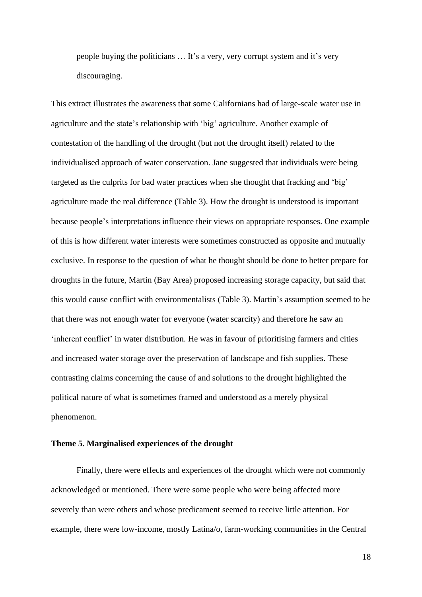people buying the politicians … It's a very, very corrupt system and it's very discouraging.

This extract illustrates the awareness that some Californians had of large-scale water use in agriculture and the state's relationship with 'big' agriculture. Another example of contestation of the handling of the drought (but not the drought itself) related to the individualised approach of water conservation. Jane suggested that individuals were being targeted as the culprits for bad water practices when she thought that fracking and 'big' agriculture made the real difference (Table 3). How the drought is understood is important because people's interpretations influence their views on appropriate responses. One example of this is how different water interests were sometimes constructed as opposite and mutually exclusive. In response to the question of what he thought should be done to better prepare for droughts in the future, Martin (Bay Area) proposed increasing storage capacity, but said that this would cause conflict with environmentalists (Table 3). Martin's assumption seemed to be that there was not enough water for everyone (water scarcity) and therefore he saw an 'inherent conflict' in water distribution. He was in favour of prioritising farmers and cities and increased water storage over the preservation of landscape and fish supplies. These contrasting claims concerning the cause of and solutions to the drought highlighted the political nature of what is sometimes framed and understood as a merely physical phenomenon.

#### **Theme 5. Marginalised experiences of the drought**

Finally, there were effects and experiences of the drought which were not commonly acknowledged or mentioned. There were some people who were being affected more severely than were others and whose predicament seemed to receive little attention. For example, there were low-income, mostly Latina/o, farm-working communities in the Central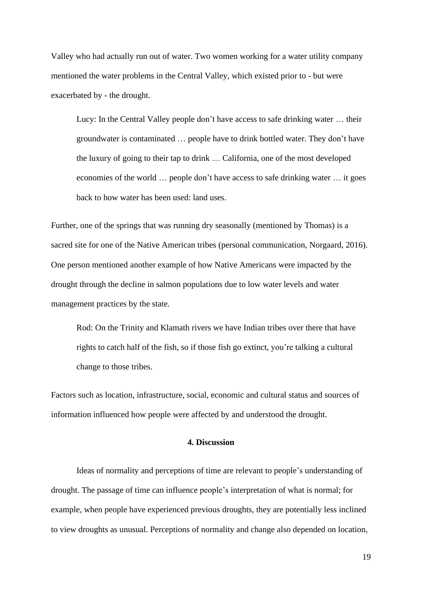Valley who had actually run out of water. Two women working for a water utility company mentioned the water problems in the Central Valley, which existed prior to - but were exacerbated by - the drought.

Lucy: In the Central Valley people don't have access to safe drinking water … their groundwater is contaminated … people have to drink bottled water. They don't have the luxury of going to their tap to drink … California, one of the most developed economies of the world … people don't have access to safe drinking water … it goes back to how water has been used: land uses.

Further, one of the springs that was running dry seasonally (mentioned by Thomas) is a sacred site for one of the Native American tribes (personal communication, Norgaard, 2016). One person mentioned another example of how Native Americans were impacted by the drought through the decline in salmon populations due to low water levels and water management practices by the state.

Rod: On the Trinity and Klamath rivers we have Indian tribes over there that have rights to catch half of the fish, so if those fish go extinct, you're talking a cultural change to those tribes.

Factors such as location, infrastructure, social, economic and cultural status and sources of information influenced how people were affected by and understood the drought.

# **4. Discussion**

Ideas of normality and perceptions of time are relevant to people's understanding of drought. The passage of time can influence people's interpretation of what is normal; for example, when people have experienced previous droughts, they are potentially less inclined to view droughts as unusual. Perceptions of normality and change also depended on location,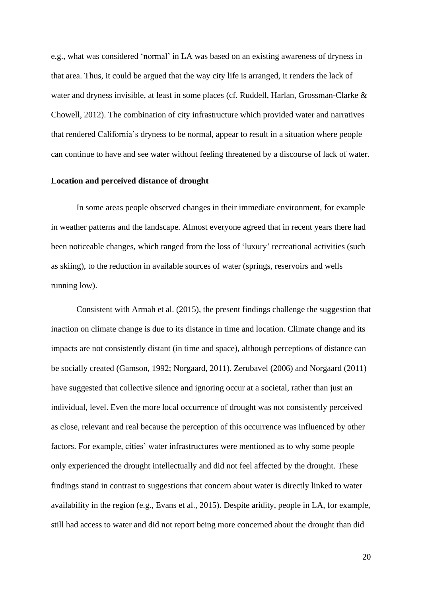e.g., what was considered 'normal' in LA was based on an existing awareness of dryness in that area. Thus, it could be argued that the way city life is arranged, it renders the lack of water and dryness invisible, at least in some places (cf. Ruddell, Harlan, Grossman-Clarke & Chowell, 2012). The combination of city infrastructure which provided water and narratives that rendered California's dryness to be normal, appear to result in a situation where people can continue to have and see water without feeling threatened by a discourse of lack of water.

#### **Location and perceived distance of drought**

In some areas people observed changes in their immediate environment, for example in weather patterns and the landscape. Almost everyone agreed that in recent years there had been noticeable changes, which ranged from the loss of 'luxury' recreational activities (such as skiing), to the reduction in available sources of water (springs, reservoirs and wells running low).

Consistent with Armah et al. (2015), the present findings challenge the suggestion that inaction on climate change is due to its distance in time and location. Climate change and its impacts are not consistently distant (in time and space), although perceptions of distance can be socially created (Gamson, 1992; Norgaard, 2011). Zerubavel (2006) and Norgaard (2011) have suggested that collective silence and ignoring occur at a societal, rather than just an individual, level. Even the more local occurrence of drought was not consistently perceived as close, relevant and real because the perception of this occurrence was influenced by other factors. For example, cities' water infrastructures were mentioned as to why some people only experienced the drought intellectually and did not feel affected by the drought. These findings stand in contrast to suggestions that concern about water is directly linked to water availability in the region (e.g., Evans et al., 2015). Despite aridity, people in LA, for example, still had access to water and did not report being more concerned about the drought than did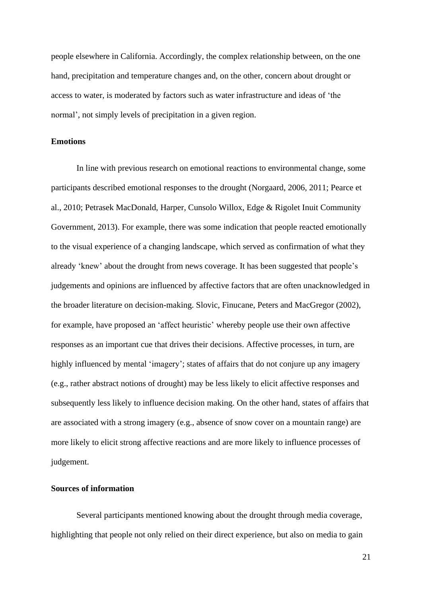people elsewhere in California. Accordingly, the complex relationship between, on the one hand, precipitation and temperature changes and, on the other, concern about drought or access to water, is moderated by factors such as water infrastructure and ideas of 'the normal', not simply levels of precipitation in a given region.

#### **Emotions**

In line with previous research on emotional reactions to environmental change, some participants described emotional responses to the drought (Norgaard, 2006, 2011; Pearce et al., 2010; Petrasek MacDonald, Harper, Cunsolo Willox, Edge & Rigolet Inuit Community Government, 2013). For example, there was some indication that people reacted emotionally to the visual experience of a changing landscape, which served as confirmation of what they already 'knew' about the drought from news coverage. It has been suggested that people's judgements and opinions are influenced by affective factors that are often unacknowledged in the broader literature on decision-making. Slovic, Finucane, Peters and MacGregor (2002), for example, have proposed an 'affect heuristic' whereby people use their own affective responses as an important cue that drives their decisions. Affective processes, in turn, are highly influenced by mental 'imagery'; states of affairs that do not conjure up any imagery (e.g., rather abstract notions of drought) may be less likely to elicit affective responses and subsequently less likely to influence decision making. On the other hand, states of affairs that are associated with a strong imagery (e.g., absence of snow cover on a mountain range) are more likely to elicit strong affective reactions and are more likely to influence processes of judgement.

# **Sources of information**

Several participants mentioned knowing about the drought through media coverage, highlighting that people not only relied on their direct experience, but also on media to gain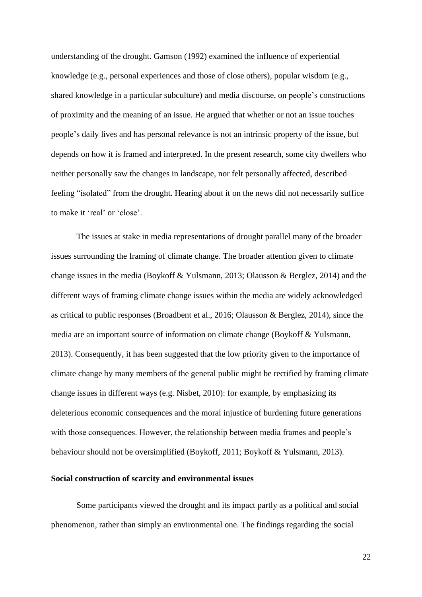understanding of the drought. Gamson (1992) examined the influence of experiential knowledge (e.g., personal experiences and those of close others), popular wisdom (e.g., shared knowledge in a particular subculture) and media discourse, on people's constructions of proximity and the meaning of an issue. He argued that whether or not an issue touches people's daily lives and has personal relevance is not an intrinsic property of the issue, but depends on how it is framed and interpreted. In the present research, some city dwellers who neither personally saw the changes in landscape, nor felt personally affected, described feeling "isolated" from the drought. Hearing about it on the news did not necessarily suffice to make it 'real' or 'close'.

The issues at stake in media representations of drought parallel many of the broader issues surrounding the framing of climate change. The broader attention given to climate change issues in the media (Boykoff & Yulsmann, 2013; Olausson & Berglez, 2014) and the different ways of framing climate change issues within the media are widely acknowledged as critical to public responses (Broadbent et al., 2016; Olausson & Berglez, 2014), since the media are an important source of information on climate change (Boykoff & Yulsmann, 2013). Consequently, it has been suggested that the low priority given to the importance of climate change by many members of the general public might be rectified by framing climate change issues in different ways (e.g. Nisbet, 2010): for example, by emphasizing its deleterious economic consequences and the moral injustice of burdening future generations with those consequences. However, the relationship between media frames and people's behaviour should not be oversimplified (Boykoff, 2011; Boykoff & Yulsmann, 2013).

## **Social construction of scarcity and environmental issues**

Some participants viewed the drought and its impact partly as a political and social phenomenon, rather than simply an environmental one. The findings regarding the social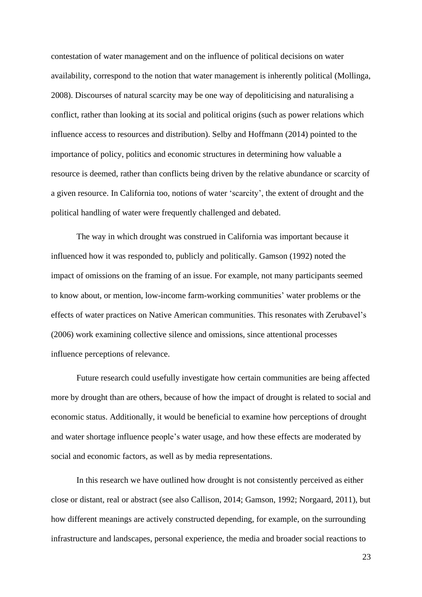contestation of water management and on the influence of political decisions on water availability, correspond to the notion that water management is inherently political (Mollinga, 2008). Discourses of natural scarcity may be one way of depoliticising and naturalising a conflict, rather than looking at its social and political origins (such as power relations which influence access to resources and distribution). Selby and Hoffmann (2014) pointed to the importance of policy, politics and economic structures in determining how valuable a resource is deemed, rather than conflicts being driven by the relative abundance or scarcity of a given resource. In California too, notions of water 'scarcity', the extent of drought and the political handling of water were frequently challenged and debated.

The way in which drought was construed in California was important because it influenced how it was responded to, publicly and politically. Gamson (1992) noted the impact of omissions on the framing of an issue. For example, not many participants seemed to know about, or mention, low-income farm-working communities' water problems or the effects of water practices on Native American communities. This resonates with Zerubavel's (2006) work examining collective silence and omissions, since attentional processes influence perceptions of relevance.

Future research could usefully investigate how certain communities are being affected more by drought than are others, because of how the impact of drought is related to social and economic status. Additionally, it would be beneficial to examine how perceptions of drought and water shortage influence people's water usage, and how these effects are moderated by social and economic factors, as well as by media representations.

In this research we have outlined how drought is not consistently perceived as either close or distant, real or abstract (see also Callison, 2014; Gamson, 1992; Norgaard, 2011), but how different meanings are actively constructed depending, for example, on the surrounding infrastructure and landscapes, personal experience, the media and broader social reactions to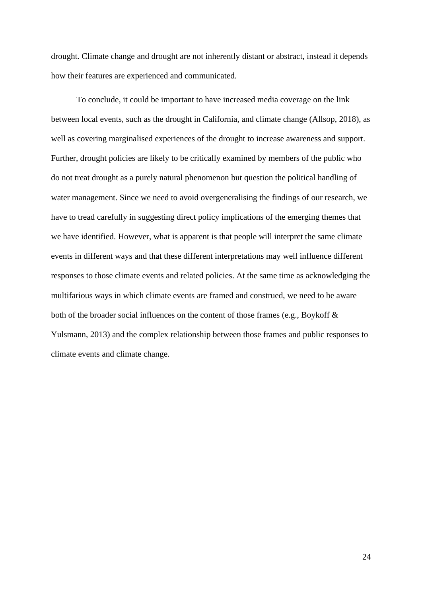drought. Climate change and drought are not inherently distant or abstract, instead it depends how their features are experienced and communicated.

To conclude, it could be important to have increased media coverage on the link between local events, such as the drought in California, and climate change (Allsop, 2018), as well as covering marginalised experiences of the drought to increase awareness and support. Further, drought policies are likely to be critically examined by members of the public who do not treat drought as a purely natural phenomenon but question the political handling of water management. Since we need to avoid overgeneralising the findings of our research, we have to tread carefully in suggesting direct policy implications of the emerging themes that we have identified. However, what is apparent is that people will interpret the same climate events in different ways and that these different interpretations may well influence different responses to those climate events and related policies. At the same time as acknowledging the multifarious ways in which climate events are framed and construed, we need to be aware both of the broader social influences on the content of those frames (e.g., Boykoff & Yulsmann, 2013) and the complex relationship between those frames and public responses to climate events and climate change.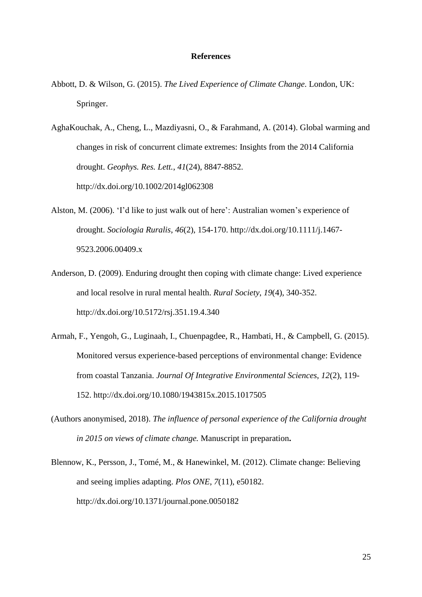#### **References**

Abbott, D. & Wilson, G. (2015). *The Lived Experience of Climate Change*. London, UK: Springer.

AghaKouchak, A., Cheng, L., Mazdiyasni, O., & Farahmand, A. (2014). Global warming and changes in risk of concurrent climate extremes: Insights from the 2014 California drought. *Geophys. Res. Lett.*, *41*(24), 8847-8852. http://dx.doi.org/10.1002/2014gl062308

- Alston, M. (2006). 'I'd like to just walk out of here': Australian women's experience of drought. *Sociologia Ruralis*, *46*(2), 154-170. http://dx.doi.org/10.1111/j.1467- 9523.2006.00409.x
- Anderson, D. (2009). Enduring drought then coping with climate change: Lived experience and local resolve in rural mental health. *Rural Society*, *19*(4), 340-352. http://dx.doi.org/10.5172/rsj.351.19.4.340
- Armah, F., Yengoh, G., Luginaah, I., Chuenpagdee, R., Hambati, H., & Campbell, G. (2015). Monitored versus experience-based perceptions of environmental change: Evidence from coastal Tanzania. *Journal Of Integrative Environmental Sciences*, *12*(2), 119- 152. http://dx.doi.org/10.1080/1943815x.2015.1017505
- (Authors anonymised, 2018). *The influence of personal experience of the California drought in 2015 on views of climate change.* Manuscript in preparation**.**
- Blennow, K., Persson, J., Tomé, M., & Hanewinkel, M. (2012). Climate change: Believing and seeing implies adapting. *Plos ONE*, *7*(11), e50182. http://dx.doi.org/10.1371/journal.pone.0050182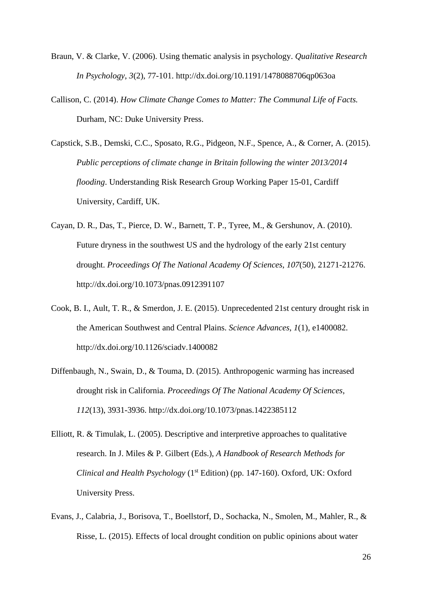- Braun, V. & Clarke, V. (2006). Using thematic analysis in psychology. *Qualitative Research In Psychology*, *3*(2), 77-101. http://dx.doi.org/10.1191/1478088706qp063oa
- Callison, C. (2014). *How Climate Change Comes to Matter: The Communal Life of Facts.* Durham, NC: Duke University Press.
- Capstick, S.B., Demski, C.C., Sposato, R.G., Pidgeon, N.F., Spence, A., & Corner, A. (2015). *Public perceptions of climate change in Britain following the winter 2013/2014 flooding*. Understanding Risk Research Group Working Paper 15-01, Cardiff University, Cardiff, UK.
- Cayan, D. R., Das, T., Pierce, D. W., Barnett, T. P., Tyree, M., & Gershunov, A. (2010). Future dryness in the southwest US and the hydrology of the early 21st century drought. *Proceedings Of The National Academy Of Sciences*, *107*(50), 21271-21276. http://dx.doi.org/10.1073/pnas.0912391107
- Cook, B. I., Ault, T. R., & Smerdon, J. E. (2015). Unprecedented 21st century drought risk in the American Southwest and Central Plains. *Science Advances*, *1*(1), e1400082. http://dx.doi.org/10.1126/sciadv.1400082
- Diffenbaugh, N., Swain, D., & Touma, D. (2015). Anthropogenic warming has increased drought risk in California. *Proceedings Of The National Academy Of Sciences*, *112*(13), 3931-3936. http://dx.doi.org/10.1073/pnas.1422385112
- Elliott, R. & Timulak, L. (2005). Descriptive and interpretive approaches to qualitative research. In J. Miles & P. Gilbert (Eds.), *A Handbook of Research Methods for Clinical and Health Psychology* (1st Edition) (pp. 147-160). Oxford, UK: Oxford University Press.
- Evans, J., Calabria, J., Borisova, T., Boellstorf, D., Sochacka, N., Smolen, M., Mahler, R., & Risse, L. (2015). Effects of local drought condition on public opinions about water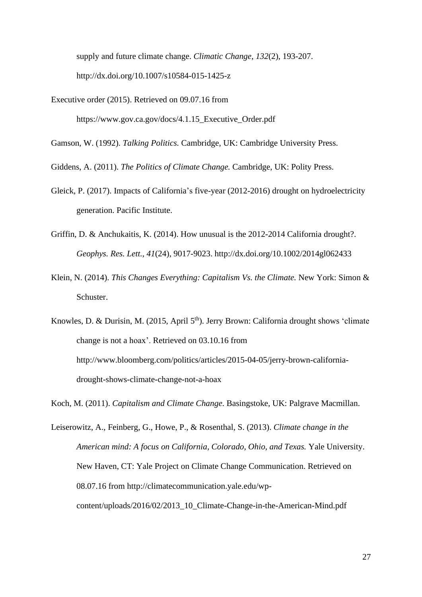supply and future climate change. *Climatic Change*, *132*(2), 193-207. http://dx.doi.org/10.1007/s10584-015-1425-z

Executive order (2015). Retrieved on 09.07.16 from https://www.gov.ca.gov/docs/4.1.15\_Executive\_Order.pdf

Gamson, W. (1992). *Talking Politics.* Cambridge, UK: Cambridge University Press.

Giddens, A. (2011). *The Politics of Climate Change.* Cambridge, UK: Polity Press.

- Gleick, P. (2017). Impacts of California's five-year (2012-2016) drought on hydroelectricity generation. Pacific Institute.
- Griffin, D. & Anchukaitis, K. (2014). How unusual is the 2012-2014 California drought?. *Geophys. Res. Lett.*, *41*(24), 9017-9023. http://dx.doi.org/10.1002/2014gl062433
- Klein, N. (2014). *This Changes Everything: Capitalism Vs. the Climate.* New York: Simon & Schuster.

Knowles, D. & Durisin, M. (2015, April 5<sup>th</sup>). Jerry Brown: California drought shows 'climate change is not a hoax'. Retrieved on 03.10.16 from http://www.bloomberg.com/politics/articles/2015-04-05/jerry-brown-californiadrought-shows-climate-change-not-a-hoax

Koch, M. (2011). *Capitalism and Climate Change*. Basingstoke, UK: Palgrave Macmillan.

Leiserowitz, A., Feinberg, G., Howe, P., & Rosenthal, S. (2013). *Climate change in the American mind: A focus on California, Colorado, Ohio, and Texas.* Yale University. New Haven, CT: Yale Project on Climate Change Communication. Retrieved on 08.07.16 from http://climatecommunication.yale.edu/wpcontent/uploads/2016/02/2013\_10\_Climate-Change-in-the-American-Mind.pdf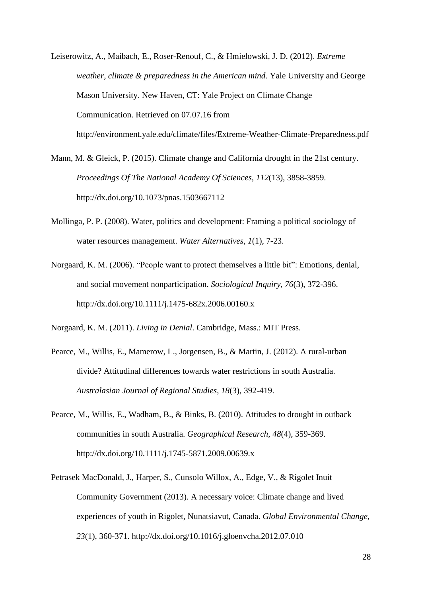Leiserowitz, A., Maibach, E., Roser-Renouf, C., & Hmielowski, J. D. (2012). *Extreme weather, climate & preparedness in the American mind.* Yale University and George Mason University. New Haven, CT: Yale Project on Climate Change Communication. Retrieved on 07.07.16 from http://environment.yale.edu/climate/files/Extreme-Weather-Climate-Preparedness.pdf

Mann, M. & Gleick, P. (2015). Climate change and California drought in the 21st century. *Proceedings Of The National Academy Of Sciences*, *112*(13), 3858-3859. http://dx.doi.org/10.1073/pnas.1503667112

- Mollinga, P. P. (2008). Water, politics and development: Framing a political sociology of water resources management. *Water Alternatives*, *1*(1), 7-23.
- Norgaard, K. M. (2006). "People want to protect themselves a little bit": Emotions, denial, and social movement nonparticipation. *Sociological Inquiry*, *76*(3), 372-396. http://dx.doi.org/10.1111/j.1475-682x.2006.00160.x

Norgaard, K. M. (2011). *Living in Denial*. Cambridge, Mass.: MIT Press.

- Pearce, M., Willis, E., Mamerow, L., Jorgensen, B., & Martin, J. (2012). A rural-urban divide? Attitudinal differences towards water restrictions in south Australia. *Australasian Journal of Regional Studies*, *18*(3), 392-419.
- Pearce, M., Willis, E., Wadham, B., & Binks, B. (2010). Attitudes to drought in outback communities in south Australia. *Geographical Research*, *48*(4), 359-369. http://dx.doi.org/10.1111/j.1745-5871.2009.00639.x
- Petrasek MacDonald, J., Harper, S., Cunsolo Willox, A., Edge, V., & Rigolet Inuit Community Government (2013). A necessary voice: Climate change and lived experiences of youth in Rigolet, Nunatsiavut, Canada. *Global Environmental Change*, *23*(1), 360-371. http://dx.doi.org/10.1016/j.gloenvcha.2012.07.010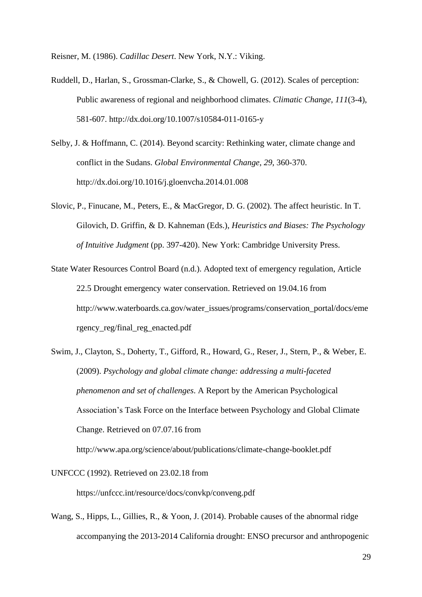Reisner, M. (1986). *Cadillac Desert*. New York, N.Y.: Viking.

- Ruddell, D., Harlan, S., Grossman-Clarke, S., & Chowell, G. (2012). Scales of perception: Public awareness of regional and neighborhood climates. *Climatic Change*, *111*(3-4), 581-607. http://dx.doi.org/10.1007/s10584-011-0165-y
- Selby, J. & Hoffmann, C. (2014). Beyond scarcity: Rethinking water, climate change and conflict in the Sudans. *Global Environmental Change*, *29*, 360-370. http://dx.doi.org/10.1016/j.gloenvcha.2014.01.008
- Slovic, P., Finucane, M., Peters, E., & MacGregor, D. G. (2002). The affect heuristic. In T. Gilovich, D. Griffin, & D. Kahneman (Eds.), *Heuristics and Biases: The Psychology of Intuitive Judgment* (pp. 397-420). New York: Cambridge University Press.
- State Water Resources Control Board (n.d.). Adopted text of emergency regulation, Article 22.5 Drought emergency water conservation. Retrieved on 19.04.16 from http://www.waterboards.ca.gov/water\_issues/programs/conservation\_portal/docs/eme rgency\_reg/final\_reg\_enacted.pdf
- Swim, J., Clayton, S., Doherty, T., Gifford, R., Howard, G., Reser, J., Stern, P., & Weber, E. (2009). *Psychology and global climate change: addressing a multi-faceted phenomenon and set of challenges*. A Report by the American Psychological Association's Task Force on the Interface between Psychology and Global Climate Change. Retrieved on 07.07.16 from

http://www.apa.org/science/about/publications/climate-change-booklet.pdf

UNFCCC (1992). Retrieved on 23.02.18 from

https://unfccc.int/resource/docs/convkp/conveng.pdf

Wang, S., Hipps, L., Gillies, R., & Yoon, J. (2014). Probable causes of the abnormal ridge accompanying the 2013-2014 California drought: ENSO precursor and anthropogenic